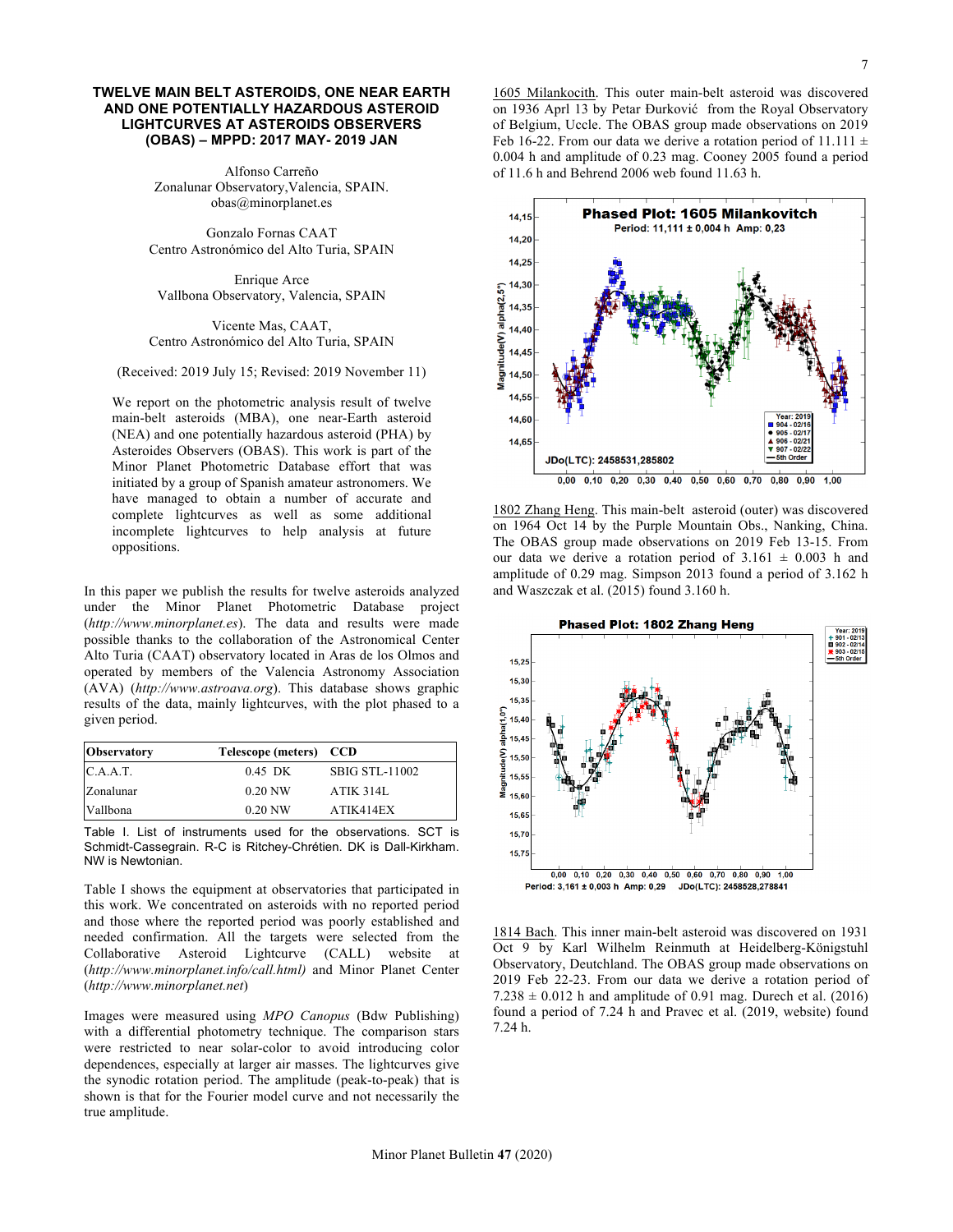## **TWELVE MAIN BELT ASTEROIDS, ONE NEAR EARTH AND ONE POTENTIALLY HAZARDOUS ASTEROID LIGHTCURVES AT ASTEROIDS OBSERVERS (OBAS) – MPPD: 2017 MAY- 2019 JAN**

Alfonso Carreño Zonalunar Observatory,Valencia, SPAIN. obas@minorplanet.es

Gonzalo Fornas CAAT Centro Astronómico del Alto Turia, SPAIN

Enrique Arce Vallbona Observatory, Valencia, SPAIN

Vicente Mas, CAAT, Centro Astronómico del Alto Turia, SPAIN

(Received: 2019 July 15; Revised: 2019 November 11)

We report on the photometric analysis result of twelve main-belt asteroids (MBA), one near-Earth asteroid (NEA) and one potentially hazardous asteroid (PHA) by Asteroides Observers (OBAS). This work is part of the Minor Planet Photometric Database effort that was initiated by a group of Spanish amateur astronomers. We have managed to obtain a number of accurate and complete lightcurves as well as some additional incomplete lightcurves to help analysis at future oppositions.

In this paper we publish the results for twelve asteroids analyzed under the Minor Planet Photometric Database project (*http://www.minorplanet.es*). The data and results were made possible thanks to the collaboration of the Astronomical Center Alto Turia (CAAT) observatory located in Aras de los Olmos and operated by members of the Valencia Astronomy Association (AVA) (*http://www.astroava.org*). This database shows graphic results of the data, mainly lightcurves, with the plot phased to a given period.

| <b>Observatory</b> | Telescope (meters) CCD |                       |  |  |  |  |
|--------------------|------------------------|-----------------------|--|--|--|--|
| C.A.A.T.           | 0.45 DK                | <b>SBIG STL-11002</b> |  |  |  |  |
| Zonalunar          | $0.20$ NW              | <b>ATIK 314L</b>      |  |  |  |  |
| Vallbona           | $0.20$ NW              | ATIK414EX             |  |  |  |  |

Table I. List of instruments used for the observations. SCT is Schmidt-Cassegrain. R-C is Ritchey-Chrétien. DK is Dall-Kirkham. NW is Newtonian.

Table I shows the equipment at observatories that participated in this work. We concentrated on asteroids with no reported period and those where the reported period was poorly established and needed confirmation. All the targets were selected from the Collaborative Asteroid Lightcurve (CALL) website at (*http://www.minorplanet.info/call.html)* and Minor Planet Center (*http://www.minorplanet.net*)

Images were measured using *MPO Canopus* (Bdw Publishing) with a differential photometry technique. The comparison stars were restricted to near solar-color to avoid introducing color dependences, especially at larger air masses. The lightcurves give the synodic rotation period. The amplitude (peak-to-peak) that is shown is that for the Fourier model curve and not necessarily the true amplitude.

1605 Milankocith. This outer main-belt asteroid was discovered on 1936 Aprl 13 by Petar Đurković from the Royal Observatory of Belgium, Uccle. The OBAS group made observations on 2019 Feb 16-22. From our data we derive a rotation period of 11.111  $\pm$ 0.004 h and amplitude of 0.23 mag. Cooney 2005 found a period of 11.6 h and Behrend 2006 web found 11.63 h.



1802 Zhang Heng. This main-belt asteroid (outer) was discovered on 1964 Oct 14 by the Purple Mountain Obs., Nanking, China. The OBAS group made observations on 2019 Feb 13-15. From our data we derive a rotation period of  $3.161 \pm 0.003$  h and amplitude of 0.29 mag. Simpson 2013 found a period of 3.162 h and Waszczak et al. (2015) found 3.160 h.



1814 Bach. This inner main-belt asteroid was discovered on 1931 Oct 9 by Karl Wilhelm Reinmuth at Heidelberg-Königstuhl Observatory, Deutchland. The OBAS group made observations on 2019 Feb 22-23. From our data we derive a rotation period of  $7.238 \pm 0.012$  h and amplitude of 0.91 mag. Durech et al. (2016) found a period of 7.24 h and Pravec et al. (2019, website) found 7.24 h.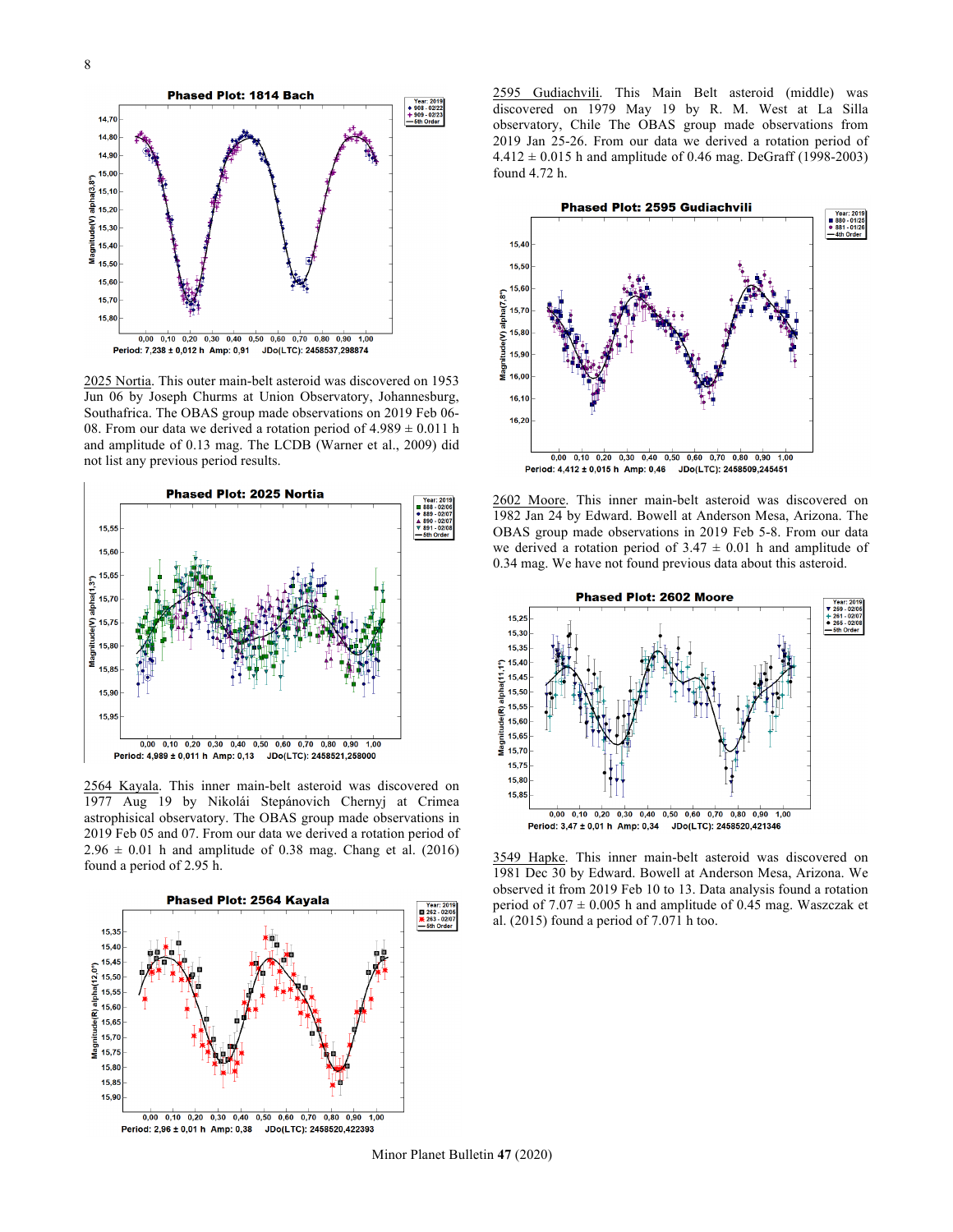

2025 Nortia. This outer main-belt asteroid was discovered on 1953 Jun 06 by Joseph Churms at Union Observatory, Johannesburg, Southafrica. The OBAS group made observations on 2019 Feb 06- 08. From our data we derived a rotation period of  $4.989 \pm 0.011$  h and amplitude of 0.13 mag. The LCDB (Warner et al., 2009) did not list any previous period results.



2564 Kayala. This inner main-belt asteroid was discovered on 1977 Aug 19 by Nikolái Stepánovich Chernyj at Crimea astrophisical observatory. The OBAS group made observations in 2019 Feb 05 and 07. From our data we derived a rotation period of  $2.96 \pm 0.01$  h and amplitude of 0.38 mag. Chang et al. (2016) found a period of 2.95 h.



2595 Gudiachvili. This Main Belt asteroid (middle) was discovered on 1979 May 19 by R. M. West at La Silla observatory, Chile The OBAS group made observations from 2019 Jan 25-26. From our data we derived a rotation period of  $4.412 \pm 0.015$  h and amplitude of 0.46 mag. DeGraff (1998-2003) found 4.72 h.



2602 Moore. This inner main-belt asteroid was discovered on 1982 Jan 24 by Edward. Bowell at Anderson Mesa, Arizona. The OBAS group made observations in 2019 Feb 5-8. From our data we derived a rotation period of  $3.47 \pm 0.01$  h and amplitude of 0.34 mag. We have not found previous data about this asteroid.



3549 Hapke. This inner main-belt asteroid was discovered on 1981 Dec 30 by Edward. Bowell at Anderson Mesa, Arizona. We observed it from 2019 Feb 10 to 13. Data analysis found a rotation period of  $7.07 \pm 0.005$  h and amplitude of 0.45 mag. Waszczak et al. (2015) found a period of 7.071 h too.

Minor Planet Bulletin **47** (2020)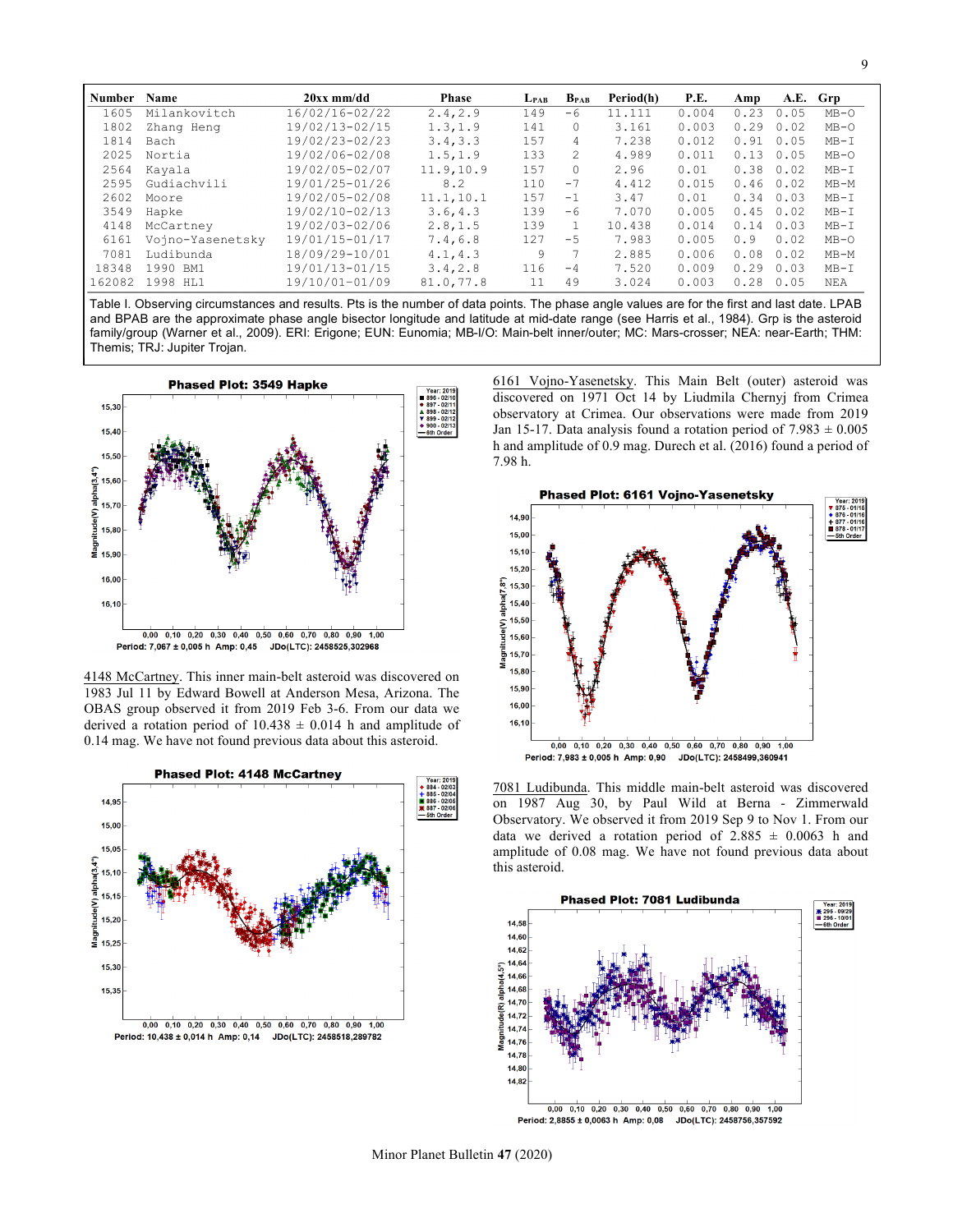| <b>Number</b> | <b>Name</b>      | $20xx$ mm/dd   | <b>Phase</b> | $L_{PAB}$ | $B_{\text{PAR}}$ | Period(h) | P.E.  | Amp      |      | A.E. Grp |
|---------------|------------------|----------------|--------------|-----------|------------------|-----------|-------|----------|------|----------|
| 1605          | Milankovitch     | 16/02/16-02/22 | 2.4, 2.9     | 149       | $-6$             | 11.111    | 0.004 | 0.23     | 0.05 | $MB-O$   |
| 1802          | Zhang Heng       | 19/02/13-02/15 | 1.3, 1.9     | 141       | $\Omega$         | 3.161     | 0.003 | 0.29     | 0.02 | $MB-O$   |
| 1814          | Bach             | 19/02/23-02/23 | 3.4.3.3      | 1.57      | 4                | 7.238     | 0.012 | 0.91     | 0.05 | $MB - I$ |
| 2025          | Nortia           | 19/02/06-02/08 | 1.5, 1.9     | 133       | 2.               | 4.989     | 0.011 | 3<br>0.1 | 0.05 | $MB-O$   |
| 2564          | Kayala           | 19/02/05-02/07 | 11.9.10.9    | 157       | $\Omega$         | 2.96      | 0.01  | 0.38     | 0.02 | $MB-I$   |
| 2595          | Gudiachvili      | 19/01/25-01/26 | 8.2          | 110       | $-7$             | 4.412     | 0.015 | 0.46     | 0.02 | $MB-M$   |
| 2602          | Moore            | 19/02/05-02/08 | 11.1, 10.1   | 157       | $-1$             | 3.47      | 0.01  | 0.34     | 0.03 | $MB-I$   |
| 3549          | Hapke            | 19/02/10-02/13 | 3.6, 4.3     | 139       | -6               | 7.070     | 0.005 | 0.45     | 0.02 | $MB-I$   |
| 4148          | McCartney        | 19/02/03-02/06 | 2.8, 1.5     | 139       |                  | 10.438    | 0.014 | 0.14     | 0.03 | $MB-T$   |
| 6161          | Voino-Yasenetsky | 19/01/15-01/17 | 7.4, 6.8     | 127       | $-5$             | 7.983     | 0.005 | 0.9      | 0.02 | $MB-O$   |
| 7081          | Ludibunda        | 18/09/29-10/01 | 4.1, 4.3     | 9         |                  | 2.885     | 0.006 | 0.08     | 0.02 | $MB-M$   |
| 18348         | 1990 BM1         | 19/01/13-01/15 | 3.4, 2.8     | 116       | $-4$             | 7.520     | 0.009 | 0.29     | 0.03 | $MB-I$   |
| 162082        | 1998<br>HT.1     | 19/10/01-01/09 | 81.0,77.8    | 11        | 49               | 3.024     | 0.003 | 0.28     | 0.05 | NEA      |

Table I. Observing circumstances and results. Pts is the number of data points. The phase angle values are for the first and last date. LPAB and BPAB are the approximate phase angle bisector longitude and latitude at mid-date range (see Harris et al., 1984). Grp is the asteroid family/group (Warner et al., 2009). ERI: Erigone; EUN: Eunomia; MB-I/O: Main-belt inner/outer; MC: Mars-crosser; NEA: near-Earth; THM: Themis; TRJ: Jupiter Trojan.



4148 McCartney. This inner main-belt asteroid was discovered on 1983 Jul 11 by Edward Bowell at Anderson Mesa, Arizona. The OBAS group observed it from 2019 Feb 3-6. From our data we derived a rotation period of  $10.438 \pm 0.014$  h and amplitude of 0.14 mag. We have not found previous data about this asteroid.



6161 Vojno-Yasenetsky. This Main Belt (outer) asteroid was discovered on 1971 Oct 14 by Liudmila Chernyj from Crimea observatory at Crimea. Our observations were made from 2019 Jan 15-17. Data analysis found a rotation period of  $7.983 \pm 0.005$ h and amplitude of 0.9 mag. Durech et al. (2016) found a period of 7.98 h.



7081 Ludibunda. This middle main-belt asteroid was discovered on 1987 Aug 30, by Paul Wild at Berna - Zimmerwald Observatory. We observed it from 2019 Sep 9 to Nov 1. From our data we derived a rotation period of  $2.885 \pm 0.0063$  h and amplitude of 0.08 mag. We have not found previous data about this asteroid.